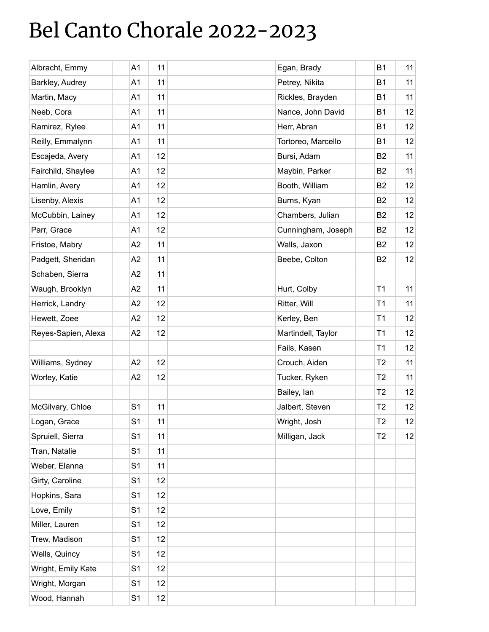## Bel Canto Chorale 2022-2023

| Albracht, Emmy      | A1             | 11 | Egan, Brady        | <b>B1</b>      | 11 |
|---------------------|----------------|----|--------------------|----------------|----|
| Barkley, Audrey     | A1             | 11 | Petrey, Nikita     | <b>B1</b>      | 11 |
| Martin, Macy        | A1             | 11 | Rickles, Brayden   | <b>B1</b>      | 11 |
| Neeb, Cora          | A <sub>1</sub> | 11 | Nance, John David  | <b>B1</b>      | 12 |
| Ramirez, Rylee      | A1             | 11 | Herr, Abran        | <b>B1</b>      | 12 |
| Reilly, Emmalynn    | A1             | 11 | Tortoreo, Marcello | <b>B1</b>      | 12 |
| Escajeda, Avery     | A1             | 12 | Bursi, Adam        | B <sub>2</sub> | 11 |
| Fairchild, Shaylee  | A1             | 12 | Maybin, Parker     | B <sub>2</sub> | 11 |
| Hamlin, Avery       | A1             | 12 | Booth, William     | B <sub>2</sub> | 12 |
| Lisenby, Alexis     | A1             | 12 | Burns, Kyan        | B <sub>2</sub> | 12 |
| McCubbin, Lainey    | A1             | 12 | Chambers, Julian   | B <sub>2</sub> | 12 |
| Parr, Grace         | A1             | 12 | Cunningham, Joseph | B <sub>2</sub> | 12 |
| Fristoe, Mabry      | A2             | 11 | Walls, Jaxon       | B <sub>2</sub> | 12 |
| Padgett, Sheridan   | A2             | 11 | Beebe, Colton      | B <sub>2</sub> | 12 |
| Schaben, Sierra     | A2             | 11 |                    |                |    |
| Waugh, Brooklyn     | A2             | 11 | Hurt, Colby        | T1             | 11 |
| Herrick, Landry     | A2             | 12 | Ritter, Will       | T1             | 11 |
| Hewett, Zoee        | A2             | 12 | Kerley, Ben        | T1             | 12 |
| Reyes-Sapien, Alexa | A <sub>2</sub> | 12 | Martindell, Taylor | T <sub>1</sub> | 12 |
|                     |                |    | Fails, Kasen       | T1             | 12 |
| Williams, Sydney    | A2             | 12 | Crouch, Aiden      | T <sub>2</sub> | 11 |
| Worley, Katie       | A2             | 12 | Tucker, Ryken      | T <sub>2</sub> | 11 |
|                     |                |    | Bailey, lan        | T <sub>2</sub> | 12 |
| McGilvary, Chloe    | S <sub>1</sub> | 11 | Jalbert, Steven    | T <sub>2</sub> | 12 |
| Logan, Grace        | S <sub>1</sub> | 11 | Wright, Josh       | T <sub>2</sub> | 12 |
| Spruiell, Sierra    | S <sub>1</sub> | 11 | Milligan, Jack     | T <sub>2</sub> | 12 |
| Tran, Natalie       | S <sub>1</sub> | 11 |                    |                |    |
| Weber, Elanna       | S <sub>1</sub> | 11 |                    |                |    |
| Girty, Caroline     | S <sub>1</sub> | 12 |                    |                |    |
| Hopkins, Sara       | S <sub>1</sub> | 12 |                    |                |    |
| Love, Emily         | S <sub>1</sub> | 12 |                    |                |    |
| Miller, Lauren      | S <sub>1</sub> | 12 |                    |                |    |
| Trew, Madison       | S <sub>1</sub> | 12 |                    |                |    |
| Wells, Quincy       | S <sub>1</sub> | 12 |                    |                |    |
| Wright, Emily Kate  | S <sub>1</sub> | 12 |                    |                |    |
| Wright, Morgan      | S <sub>1</sub> | 12 |                    |                |    |
| Wood, Hannah        | S <sub>1</sub> | 12 |                    |                |    |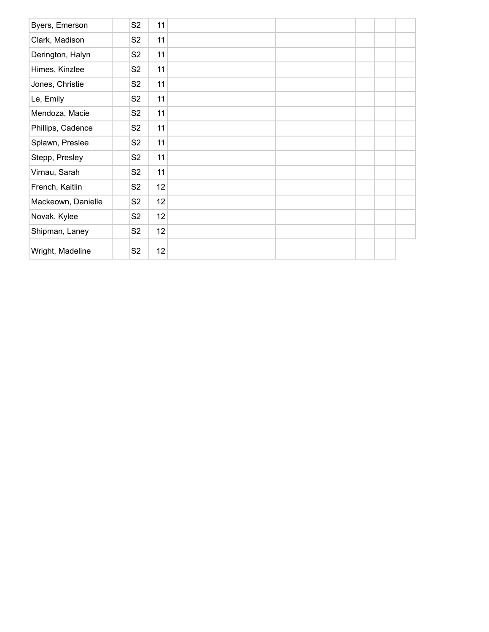| Byers, Emerson     | S <sub>2</sub> | 11 |  |  |  |
|--------------------|----------------|----|--|--|--|
| Clark, Madison     | S <sub>2</sub> | 11 |  |  |  |
| Derington, Halyn   | S <sub>2</sub> | 11 |  |  |  |
| Himes, Kinzlee     | S <sub>2</sub> | 11 |  |  |  |
| Jones, Christie    | S <sub>2</sub> | 11 |  |  |  |
| Le, Emily          | S <sub>2</sub> | 11 |  |  |  |
| Mendoza, Macie     | S <sub>2</sub> | 11 |  |  |  |
| Phillips, Cadence  | S <sub>2</sub> | 11 |  |  |  |
| Splawn, Preslee    | S <sub>2</sub> | 11 |  |  |  |
| Stepp, Presley     | S <sub>2</sub> | 11 |  |  |  |
| Virnau, Sarah      | S <sub>2</sub> | 11 |  |  |  |
| French, Kaitlin    | S <sub>2</sub> | 12 |  |  |  |
| Mackeown, Danielle | S <sub>2</sub> | 12 |  |  |  |
| Novak, Kylee       | S <sub>2</sub> | 12 |  |  |  |
| Shipman, Laney     | S <sub>2</sub> | 12 |  |  |  |
| Wright, Madeline   | S <sub>2</sub> | 12 |  |  |  |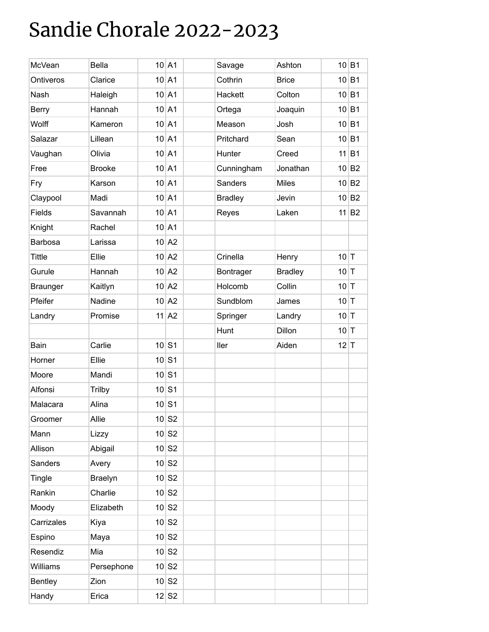### Sandie Chorale 2022-2023

| <b>McVean</b>   | Bella          | $10$ A1             | Savage         | Ashton         |        | $10$ B1             |
|-----------------|----------------|---------------------|----------------|----------------|--------|---------------------|
| Ontiveros       | Clarice        | $10$ A1             | Cothrin        | <b>Brice</b>   |        | $10$ B1             |
| Nash            | Haleigh        | $10$ A1             | Hackett        | Colton         |        | $10$ B1             |
| <b>Berry</b>    | Hannah         | $10$ A1             | Ortega         | Joaquin        |        | $10$ B1             |
| Wolff           | Kameron        | $10$ A1             | Meason         | Josh           |        | 10 B1               |
| Salazar         | Lillean        | $10$ A1             | Pritchard      | Sean           |        | $10$ B1             |
| Vaughan         | Olivia         | $10$ A1             | Hunter         | Creed          |        | $11$ B1             |
| Free            | <b>Brooke</b>  | $10$ A1             | Cunningham     | Jonathan       |        | $10$ B <sub>2</sub> |
| Fry             | Karson         | $10$ A1             | <b>Sanders</b> | <b>Miles</b>   |        | 10 B2               |
| Claypool        | Madi           | $10$ A1             | <b>Bradley</b> | Jevin          |        | 10 B2               |
| Fields          | Savannah       | $10$ A1             | Reyes          | Laken          |        | 11 B2               |
| Knight          | Rachel         | $10$ A1             |                |                |        |                     |
| Barbosa         | Larissa        | $10$ A2             |                |                |        |                     |
| <b>Tittle</b>   | Ellie          | $10$ A2             | Crinella       | Henry          | $10$ T |                     |
| Gurule          | Hannah         | $10$ A2             | Bontrager      | <b>Bradley</b> | $10$ T |                     |
| <b>Braunger</b> | Kaitlyn        | $10$ A2             | Holcomb        | Collin         | $10$ T |                     |
| Pfeifer         | Nadine         | $10$ A2             | Sundblom       | James          | $10$ T |                     |
| Landry          | Promise        | $11$ A2             | Springer       | Landry         | $10$ T |                     |
|                 |                |                     | Hunt           | Dillon         | $10$ T |                     |
| Bain            | Carlie         | $10$ S1             | ller           | Aiden          | $12$ T |                     |
| Horner          | Ellie          | $10$ S1             |                |                |        |                     |
| Moore           | Mandi          | $10$ S1             |                |                |        |                     |
| Alfonsi         | <b>Trilby</b>  | $10$ S1             |                |                |        |                     |
| Malacara        | Alina          | $10$ S1             |                |                |        |                     |
| Groomer         | Allie          | 10 S2               |                |                |        |                     |
| Mann            | Lizzy          | $10$ S <sub>2</sub> |                |                |        |                     |
| Allison         | Abigail        | $10$ S <sub>2</sub> |                |                |        |                     |
| Sanders         | Avery          | $10$ S <sub>2</sub> |                |                |        |                     |
| Tingle          | <b>Braelyn</b> | $10$ S2             |                |                |        |                     |
| Rankin          | Charlie        | $10$ S <sub>2</sub> |                |                |        |                     |
| Moody           | Elizabeth      | $10$ S2             |                |                |        |                     |
| Carrizales      | Kiya           | $10$ S <sub>2</sub> |                |                |        |                     |
| Espino          | Maya           | $10$ S2             |                |                |        |                     |
| Resendiz        | Mia            | $10$ S <sub>2</sub> |                |                |        |                     |
| Williams        | Persephone     | $10$ S2             |                |                |        |                     |
| <b>Bentley</b>  | Zion           | $10$ S <sub>2</sub> |                |                |        |                     |
| Handy           | Erica          | $12$ S <sub>2</sub> |                |                |        |                     |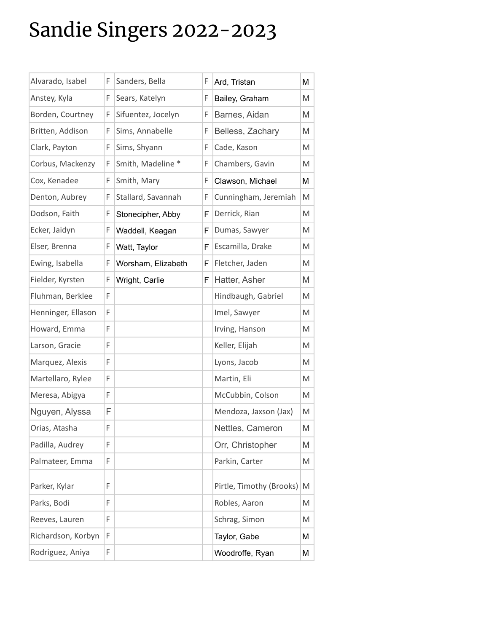# Sandie Singers 2022-2023

| Alvarado, Isabel   | F | Sanders, Bella     | F | Ard, Tristan             | Μ |
|--------------------|---|--------------------|---|--------------------------|---|
| Anstey, Kyla       | F | Sears, Katelyn     | F | Bailey, Graham           | M |
| Borden, Courtney   | F | Sifuentez, Jocelyn | F | Barnes, Aidan            | M |
| Britten, Addison   | F | Sims, Annabelle    | F | Belless, Zachary         | M |
| Clark, Payton      | F | Sims, Shyann       | F | Cade, Kason              | M |
| Corbus, Mackenzy   | F | Smith, Madeline *  | F | Chambers, Gavin          | M |
| Cox, Kenadee       | F | Smith, Mary        | F | Clawson, Michael         | M |
| Denton, Aubrey     | F | Stallard, Savannah | F | Cunningham, Jeremiah     | M |
| Dodson, Faith      | F | Stonecipher, Abby  | F | Derrick, Rian            | M |
| Ecker, Jaidyn      | F | Waddell, Keagan    | F | Dumas, Sawyer            | M |
| Elser, Brenna      | F | Watt, Taylor       | F | Escamilla, Drake         | M |
| Ewing, Isabella    | F | Worsham, Elizabeth | F | Fletcher, Jaden          | M |
| Fielder, Kyrsten   | F | Wright, Carlie     | F | Hatter, Asher            | M |
| Fluhman, Berklee   | F |                    |   | Hindbaugh, Gabriel       | M |
| Henninger, Ellason | F |                    |   | Imel, Sawyer             | M |
| Howard, Emma       | F |                    |   | Irving, Hanson           | M |
| Larson, Gracie     | F |                    |   | Keller, Elijah           | M |
| Marquez, Alexis    | F |                    |   | Lyons, Jacob             | M |
| Martellaro, Rylee  | F |                    |   | Martin, Eli              | M |
| Meresa, Abigya     | F |                    |   | McCubbin, Colson         | M |
| Nguyen, Alyssa     | F |                    |   | Mendoza, Jaxson (Jax)    | M |
| Orias, Atasha      | F |                    |   | Nettles, Cameron         | M |
| Padilla, Audrey    | F |                    |   | Orr, Christopher         | M |
| Palmateer, Emma    | F |                    |   | Parkin, Carter           | M |
|                    |   |                    |   |                          |   |
| Parker, Kylar      | F |                    |   | Pirtle, Timothy (Brooks) | M |
| Parks, Bodi        | F |                    |   | Robles, Aaron            | M |
| Reeves, Lauren     | F |                    |   | Schrag, Simon            | M |
| Richardson, Korbyn | F |                    |   | Taylor, Gabe             | Μ |
| Rodriguez, Aniya   | F |                    |   | Woodroffe, Ryan          | Μ |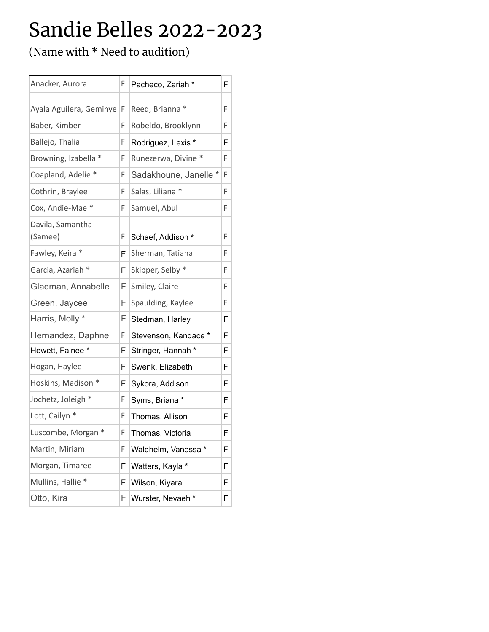### Sandie Belles 2022-2023

(Name with \* Need to audition)

| Anacker, Aurora             | F  | Pacheco, Zariah *     | F  |
|-----------------------------|----|-----------------------|----|
| Ayala Aguilera, Geminye   F |    | Reed, Brianna *       | F. |
| Baber, Kimber               | F  | Robeldo, Brooklynn    | F  |
| Ballejo, Thalia             | F  | Rodriguez, Lexis *    | F  |
| Browning, Izabella *        | F  | Runezerwa, Divine *   | F. |
| Coapland, Adelie *          | F  | Sadakhoune, Janelle * | F  |
| Cothrin, Braylee            | F  | Salas, Liliana *      | F  |
| Cox, Andie-Mae *            | F  | Samuel, Abul          | F  |
| Davila, Samantha            |    |                       |    |
| (Samee)                     | F  | Schaef, Addison *     | F  |
| Fawley, Keira *             | F  | Sherman, Tatiana      | F  |
| Garcia, Azariah *           | F  | Skipper, Selby *      | F  |
| Gladman, Annabelle          | F. | Smiley, Claire        | F  |
| Green, Jaycee               | F  | Spaulding, Kaylee     | F  |
| Harris, Molly *             | F  | Stedman, Harley       | F  |
| Hernandez, Daphne           | F  | Stevenson, Kandace *  | F  |
| Hewett, Fainee *            | F  | Stringer, Hannah *    | F. |
| Hogan, Haylee               | F  | Swenk, Elizabeth      | F  |
| Hoskins, Madison *          | F  | Sykora, Addison       | F  |
| Jochetz, Joleigh *          | F  | Syms, Briana *        | F  |
| Lott, Cailyn *              | F  | Thomas, Allison       | F  |
| Luscombe, Morgan *          | F. | Thomas, Victoria      | F  |
| Martin, Miriam              | F  | Waldhelm, Vanessa *   | F  |
| Morgan, Timaree             | F  | Watters, Kayla *      | F  |
| Mullins, Hallie *           | F  | Wilson, Kiyara        | F  |
| Otto, Kira                  | F  | Wurster, Nevaeh *     | F  |